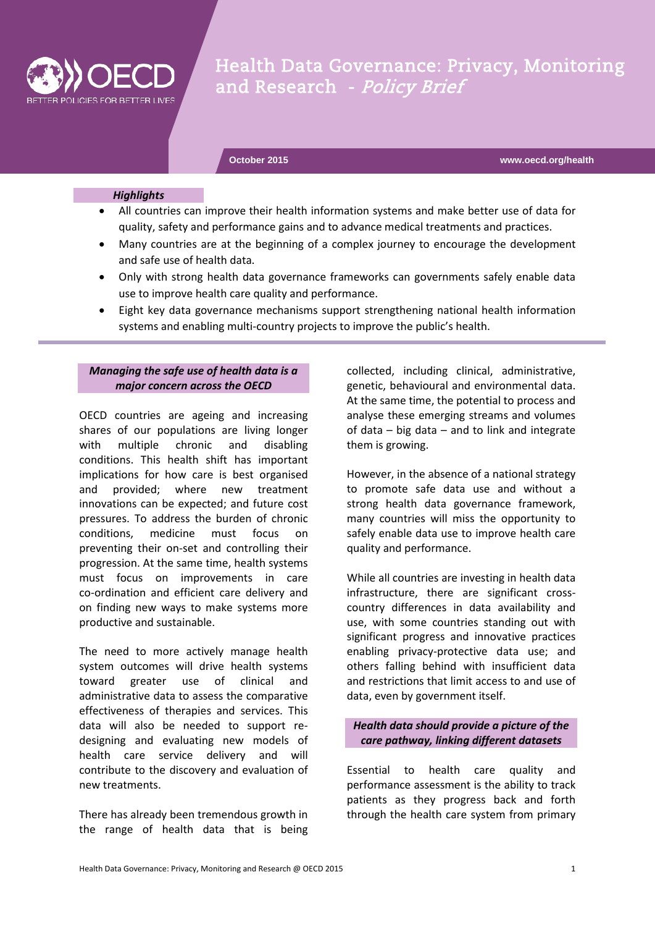

Health Data Governance: Privacy, Monitoring and Research - Policy Brief

**October 2015 www.oecd.org/health**

#### *Highlights*

- All countries can improve their health information systems and make better use of data for quality, safety and performance gains and to advance medical treatments and practices.
- Many countries are at the beginning of a complex journey to encourage the development and safe use of health data.
- Only with strong health data governance frameworks can governments safely enable data use to improve health care quality and performance.
- Eight key data governance mechanisms support strengthening national health information systems and enabling multi-country projects to improve the public's health.

#### *Managing the safe use of health data is a major concern across the OECD*

OECD countries are ageing and increasing shares of our populations are living longer with multiple chronic and disabling conditions. This health shift has important implications for how care is best organised and provided; where new treatment innovations can be expected; and future cost pressures. To address the burden of chronic conditions, medicine must focus on preventing their on-set and controlling their progression. At the same time, health systems must focus on improvements in care co-ordination and efficient care delivery and on finding new ways to make systems more productive and sustainable.

The need to more actively manage health system outcomes will drive health systems toward greater use of clinical and administrative data to assess the comparative effectiveness of therapies and services. This data will also be needed to support redesigning and evaluating new models of health care service delivery and will contribute to the discovery and evaluation of new treatments.

There has already been tremendous growth in the range of health data that is being

collected, including clinical, administrative, genetic, behavioural and environmental data. At the same time, the potential to process and analyse these emerging streams and volumes of data – big data – and to link and integrate them is growing.

However, in the absence of a national strategy to promote safe data use and without a strong health data governance framework, many countries will miss the opportunity to safely enable data use to improve health care quality and performance.

While all countries are investing in health data infrastructure, there are significant crosscountry differences in data availability and use, with some countries standing out with significant progress and innovative practices enabling privacy-protective data use; and others falling behind with insufficient data and restrictions that limit access to and use of data, even by government itself.

## *Health data should provide a picture of the care pathway, linking different datasets*

Essential to health care quality and performance assessment is the ability to track patients as they progress back and forth through the health care system from primary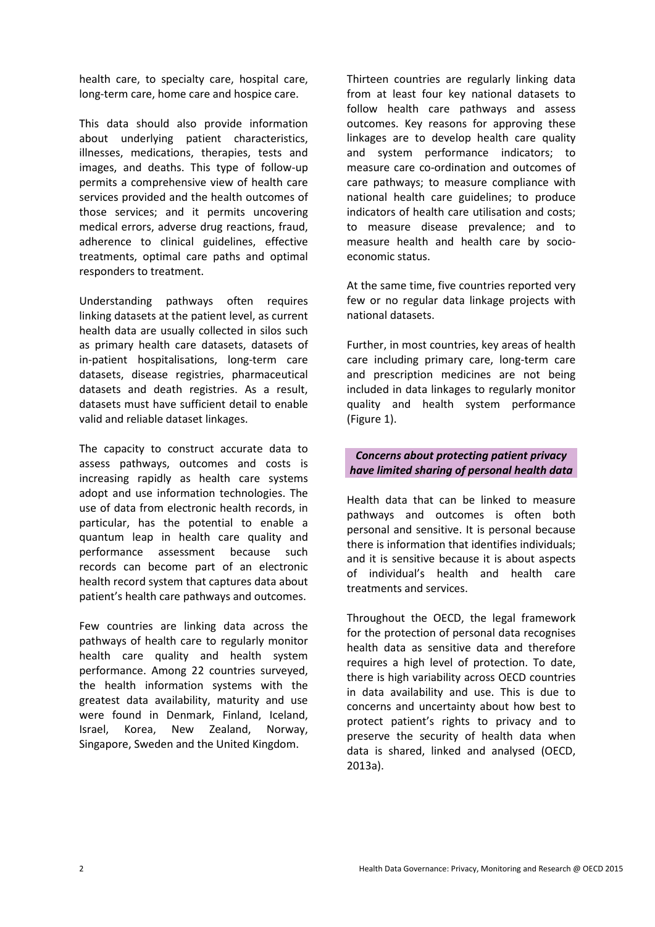health care, to specialty care, hospital care, long-term care, home care and hospice care.

This data should also provide information about underlying patient characteristics, illnesses, medications, therapies, tests and images, and deaths. This type of follow-up permits a comprehensive view of health care services provided and the health outcomes of those services; and it permits uncovering medical errors, adverse drug reactions, fraud, adherence to clinical guidelines, effective treatments, optimal care paths and optimal responders to treatment.

Understanding pathways often requires linking datasets at the patient level, as current health data are usually collected in silos such as primary health care datasets, datasets of in-patient hospitalisations, long-term care datasets, disease registries, pharmaceutical datasets and death registries. As a result, datasets must have sufficient detail to enable valid and reliable dataset linkages.

The capacity to construct accurate data to assess pathways, outcomes and costs is increasing rapidly as health care systems adopt and use information technologies. The use of data from electronic health records, in particular, has the potential to enable a quantum leap in health care quality and performance assessment because such records can become part of an electronic health record system that captures data about patient's health care pathways and outcomes.

Few countries are linking data across the pathways of health care to regularly monitor health care quality and health system performance. Among 22 countries surveyed, the health information systems with the greatest data availability, maturity and use were found in Denmark, Finland, Iceland, Israel, Korea, New Zealand, Norway, Singapore, Sweden and the United Kingdom.

Thirteen countries are regularly linking data from at least four key national datasets to follow health care pathways and assess outcomes. Key reasons for approving these linkages are to develop health care quality and system performance indicators; to measure care co-ordination and outcomes of care pathways; to measure compliance with national health care guidelines; to produce indicators of health care utilisation and costs; to measure disease prevalence; and to measure health and health care by socioeconomic status.

At the same time, five countries reported very few or no regular data linkage projects with national datasets.

Further, in most countries, key areas of health care including primary care, long-term care and prescription medicines are not being included in data linkages to regularly monitor quality and health system performance (Figure 1).

# *Concerns about protecting patient privacy have limited sharing of personal health data*

Health data that can be linked to measure pathways and outcomes is often both personal and sensitive. It is personal because there is information that identifies individuals; and it is sensitive because it is about aspects of individual's health and health care treatments and services.

Throughout the OECD, the legal framework for the protection of personal data recognises health data as sensitive data and therefore requires a high level of protection. To date, there is high variability across OECD countries in data availability and use. This is due to concerns and uncertainty about how best to protect patient's rights to privacy and to preserve the security of health data when data is shared, linked and analysed (OECD, 2013a).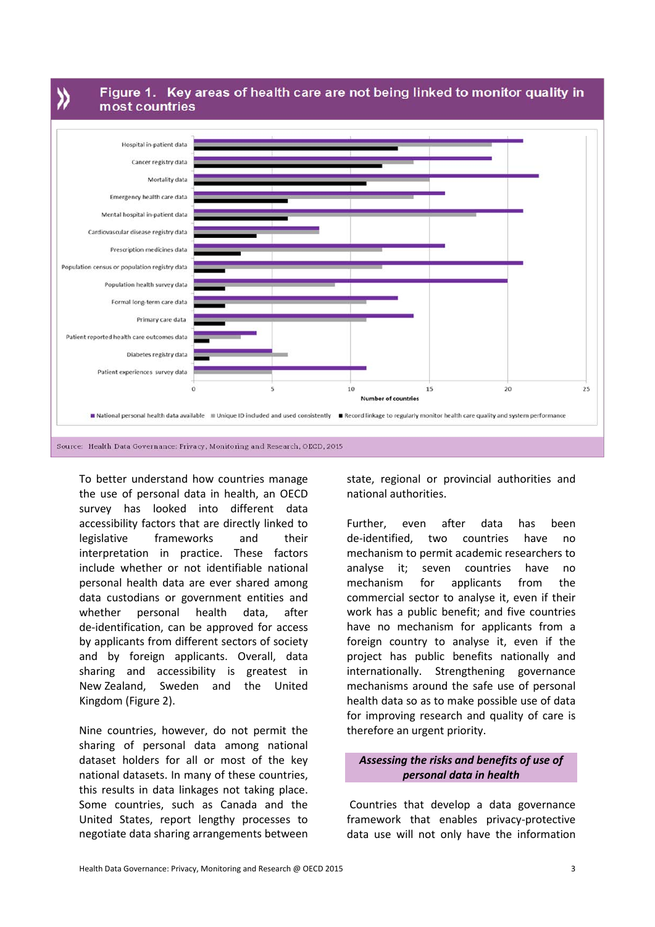》

Figure 1. Key areas of health care are not being linked to monitor quality in most countries



To better understand how countries manage the use of personal data in health, an OECD survey has looked into different data accessibility factors that are directly linked to legislative frameworks and their interpretation in practice. These factors include whether or not identifiable national personal health data are ever shared among data custodians or government entities and whether personal health data, after de-identification, can be approved for access by applicants from different sectors of society and by foreign applicants. Overall, data sharing and accessibility is greatest in New Zealand, Sweden and the United Kingdom (Figure 2).

Nine countries, however, do not permit the sharing of personal data among national dataset holders for all or most of the key national datasets. In many of these countries, this results in data linkages not taking place. Some countries, such as Canada and the United States, report lengthy processes to negotiate data sharing arrangements between

state, regional or provincial authorities and national authorities.

Further, even after data has been de-identified, two countries have no mechanism to permit academic researchers to analyse it; seven countries have no mechanism for applicants from the commercial sector to analyse it, even if their work has a public benefit; and five countries have no mechanism for applicants from a foreign country to analyse it, even if the project has public benefits nationally and internationally. Strengthening governance mechanisms around the safe use of personal health data so as to make possible use of data for improving research and quality of care is therefore an urgent priority.

# *Assessing the risks and benefits of use of personal data in health*

Countries that develop a data governance framework that enables privacy-protective data use will not only have the information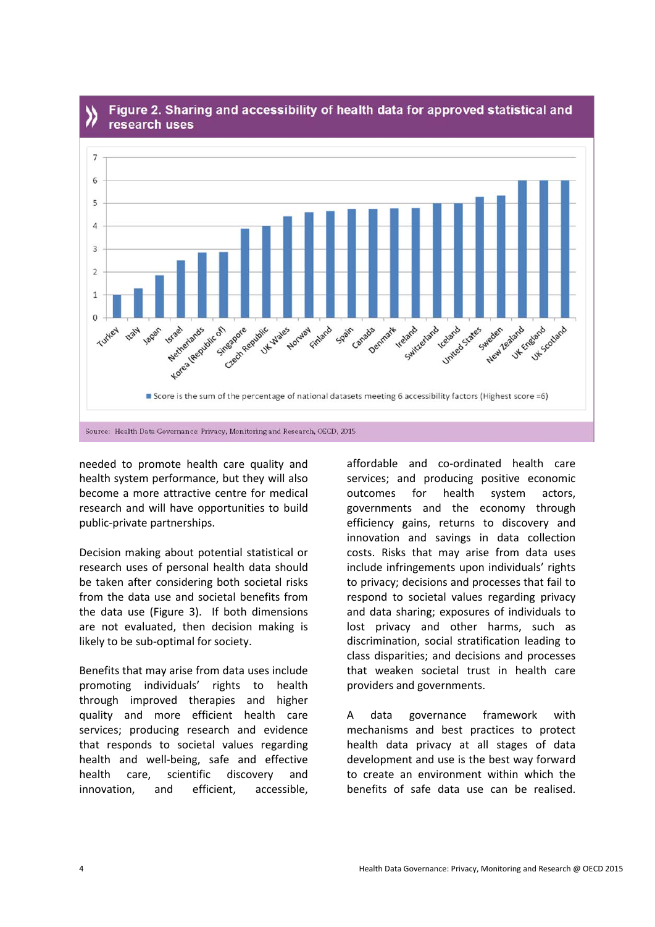

# Figure 2. Sharing and accessibility of health data for approved statistical and research uses

needed to promote health care quality and health system performance, but they will also become a more attractive centre for medical research and will have opportunities to build public-private partnerships.

Decision making about potential statistical or research uses of personal health data should be taken after considering both societal risks from the data use and societal benefits from the data use (Figure 3). If both dimensions are not evaluated, then decision making is likely to be sub-optimal for society.

Benefits that may arise from data uses include promoting individuals' rights to health through improved therapies and higher quality and more efficient health care services; producing research and evidence that responds to societal values regarding health and well-being, safe and effective health care, scientific discovery and innovation, and efficient, accessible,

affordable and co-ordinated health care services; and producing positive economic outcomes for health system actors, governments and the economy through efficiency gains, returns to discovery and innovation and savings in data collection costs. Risks that may arise from data uses include infringements upon individuals' rights to privacy; decisions and processes that fail to respond to societal values regarding privacy and data sharing; exposures of individuals to lost privacy and other harms, such as discrimination, social stratification leading to class disparities; and decisions and processes that weaken societal trust in health care providers and governments.

A data governance framework with mechanisms and best practices to protect health data privacy at all stages of data development and use is the best way forward to create an environment within which the benefits of safe data use can be realised.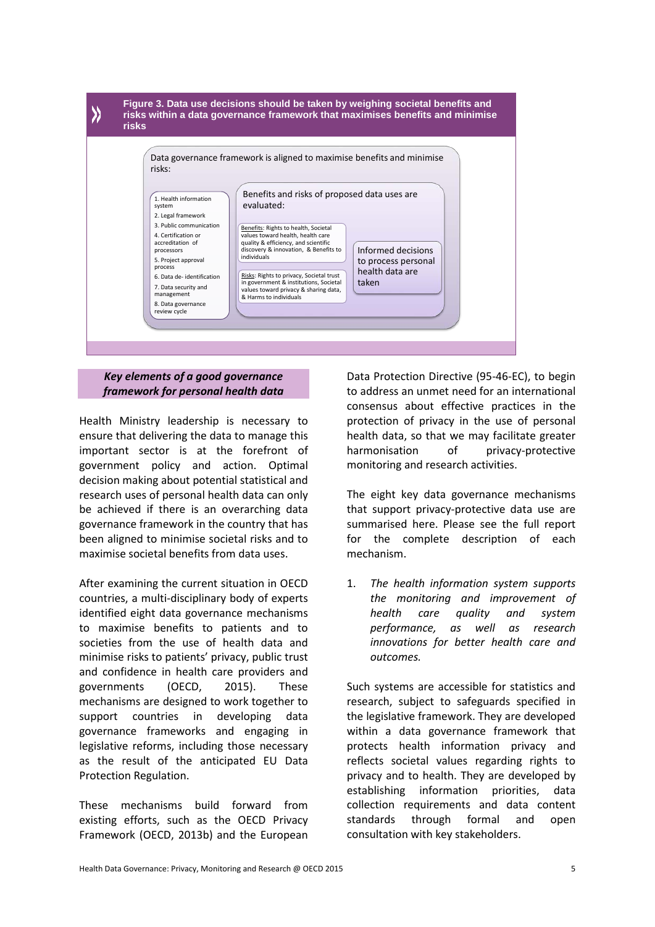

### *Key elements of a good governance framework for personal health data*

Health Ministry leadership is necessary to ensure that delivering the data to manage this important sector is at the forefront of government policy and action. Optimal decision making about potential statistical and research uses of personal health data can only be achieved if there is an overarching data governance framework in the country that has been aligned to minimise societal risks and to maximise societal benefits from data uses.

After examining the current situation in OECD countries, a multi-disciplinary body of experts identified eight data governance mechanisms to maximise benefits to patients and to societies from the use of health data and minimise risks to patients' privacy, public trust and confidence in health care providers and governments (OECD, 2015). These mechanisms are designed to work together to support countries in developing data governance frameworks and engaging in legislative reforms, including those necessary as the result of the anticipated EU Data Protection Regulation.

These mechanisms build forward from existing efforts, such as the OECD Privacy Framework (OECD, 2013b) and the European

Data Protection Directive (95-46-EC), to begin to address an unmet need for an international consensus about effective practices in the protection of privacy in the use of personal health data, so that we may facilitate greater harmonisation of privacy-protective monitoring and research activities.

The eight key data governance mechanisms that support privacy-protective data use are summarised here. Please see the full report for the complete description of each mechanism.

1. *The health information system supports the monitoring and improvement of health care quality and system performance, as well as research innovations for better health care and outcomes.*

Such systems are accessible for statistics and research, subject to safeguards specified in the legislative framework. They are developed within a data governance framework that protects health information privacy and reflects societal values regarding rights to privacy and to health. They are developed by establishing information priorities, data collection requirements and data content standards through formal and open consultation with key stakeholders.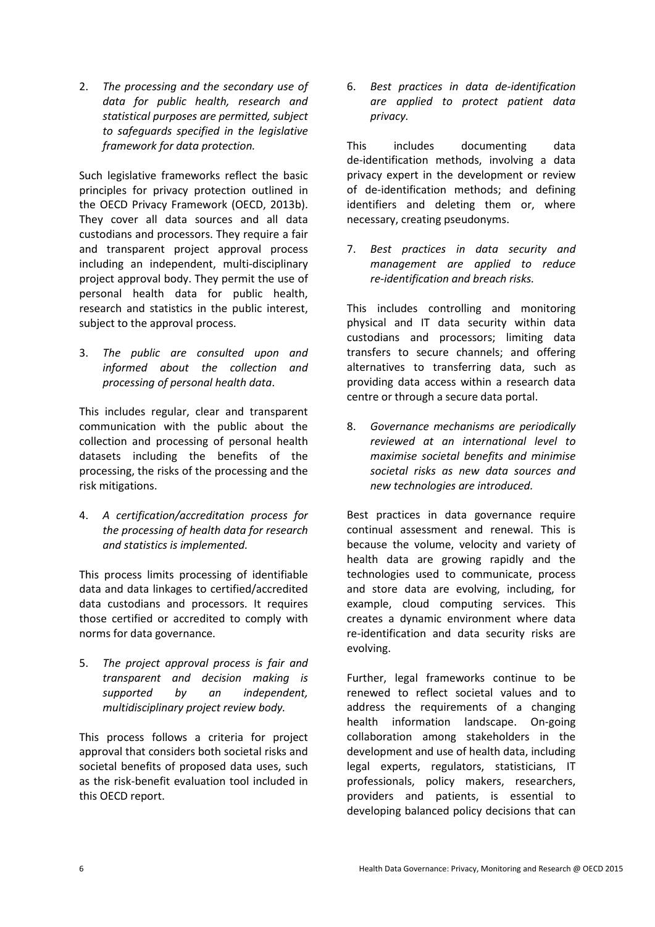2. *The processing and the secondary use of data for public health, research and statistical purposes are permitted, subject to safeguards specified in the legislative framework for data protection.*

Such legislative frameworks reflect the basic principles for privacy protection outlined in the OECD Privacy Framework (OECD, 2013b). They cover all data sources and all data custodians and processors. They require a fair and transparent project approval process including an independent, multi-disciplinary project approval body. They permit the use of personal health data for public health, research and statistics in the public interest, subject to the approval process.

3. *The public are consulted upon and informed about the collection and processing of personal health data*.

This includes regular, clear and transparent communication with the public about the collection and processing of personal health datasets including the benefits of the processing, the risks of the processing and the risk mitigations.

4. *A certification/accreditation process for the processing of health data for research and statistics is implemented.*

This process limits processing of identifiable data and data linkages to certified/accredited data custodians and processors. It requires those certified or accredited to comply with norms for data governance.

5. *The project approval process is fair and transparent and decision making is supported by an independent, multidisciplinary project review body.*

This process follows a criteria for project approval that considers both societal risks and societal benefits of proposed data uses, such as the risk-benefit evaluation tool included in this OECD report.

6. *Best practices in data de-identification are applied to protect patient data privacy.*

This includes documenting data de-identification methods, involving a data privacy expert in the development or review of de-identification methods; and defining identifiers and deleting them or, where necessary, creating pseudonyms.

7. *Best practices in data security and management are applied to reduce re-identification and breach risks.*

This includes controlling and monitoring physical and IT data security within data custodians and processors; limiting data transfers to secure channels; and offering alternatives to transferring data, such as providing data access within a research data centre or through a secure data portal.

8. *Governance mechanisms are periodically reviewed at an international level to maximise societal benefits and minimise societal risks as new data sources and new technologies are introduced.*

Best practices in data governance require continual assessment and renewal. This is because the volume, velocity and variety of health data are growing rapidly and the technologies used to communicate, process and store data are evolving, including, for example, cloud computing services. This creates a dynamic environment where data re-identification and data security risks are evolving.

Further, legal frameworks continue to be renewed to reflect societal values and to address the requirements of a changing health information landscape. On-going collaboration among stakeholders in the development and use of health data, including legal experts, regulators, statisticians, IT professionals, policy makers, researchers, providers and patients, is essential to developing balanced policy decisions that can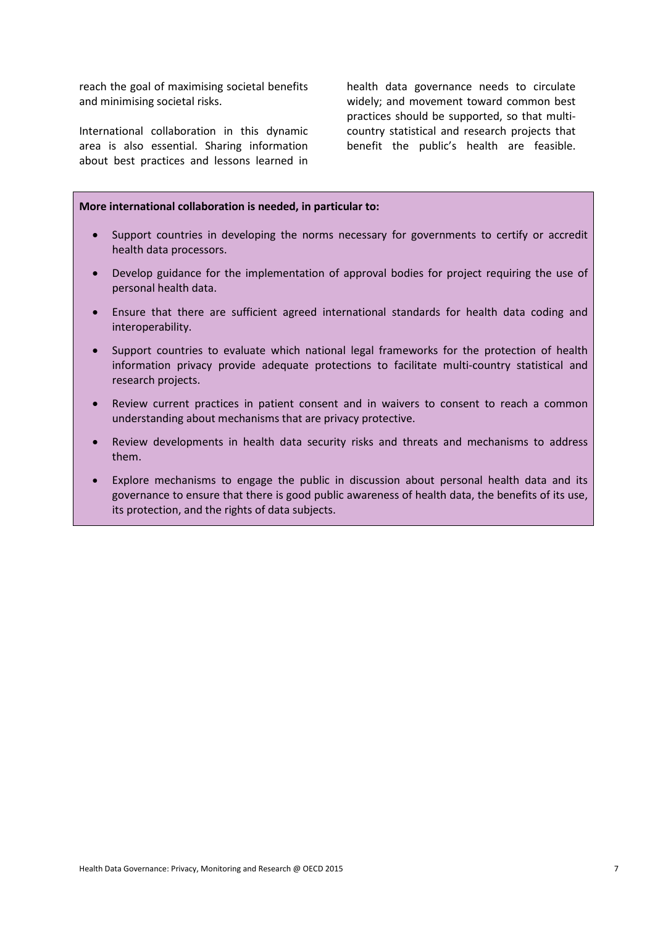reach the goal of maximising societal benefits and minimising societal risks.

International collaboration in this dynamic area is also essential. Sharing information about best practices and lessons learned in health data governance needs to circulate widely; and movement toward common best practices should be supported, so that multicountry statistical and research projects that benefit the public's health are feasible.

#### **More international collaboration is needed, in particular to:**

- Support countries in developing the norms necessary for governments to certify or accredit health data processors.
- Develop guidance for the implementation of approval bodies for project requiring the use of personal health data.
- Ensure that there are sufficient agreed international standards for health data coding and interoperability.
- Support countries to evaluate which national legal frameworks for the protection of health information privacy provide adequate protections to facilitate multi-country statistical and research projects.
- Review current practices in patient consent and in waivers to consent to reach a common understanding about mechanisms that are privacy protective.
- Review developments in health data security risks and threats and mechanisms to address them.
- Explore mechanisms to engage the public in discussion about personal health data and its governance to ensure that there is good public awareness of health data, the benefits of its use, its protection, and the rights of data subjects.